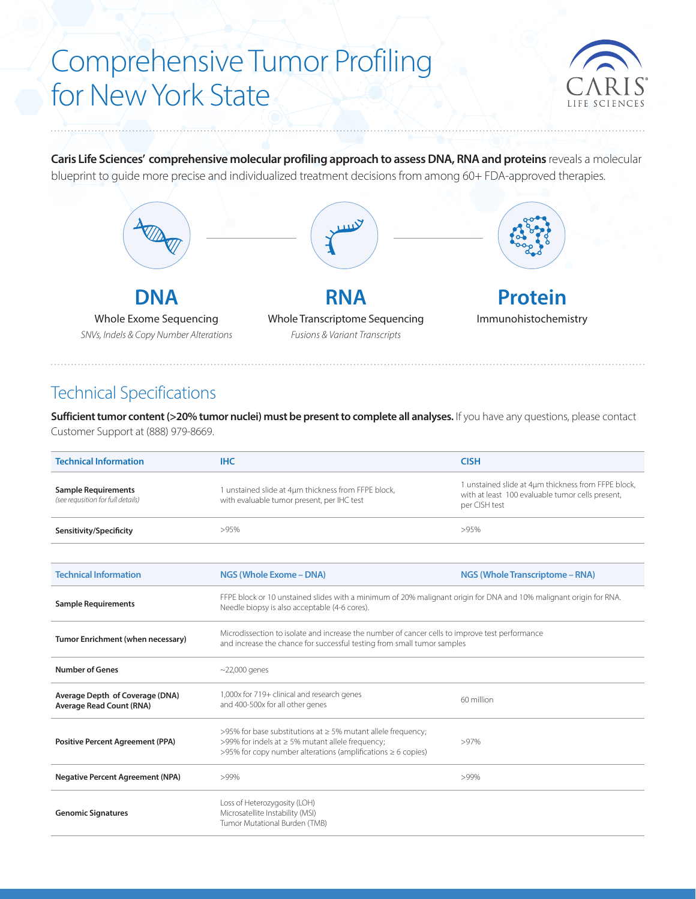# Comprehensive Tumor Profiling for New York State



**Caris Life Sciences' comprehensive molecular profiling approach to assess DNA, RNA and proteins** reveals a molecular blueprint to guide more precise and individualized treatment decisions from among 60+ FDA-approved therapies.



#### Technical Specifications

**Sufficient tumor content (>20% tumor nuclei) must be present to complete all analyses.** If you have any questions, please contact Customer Support at (888) 979-8669.

| <b>Technical Information</b>                                       | <b>IHC</b>                                                                                                                                                                       | <b>CISH</b>                                                                                                              |  |  |
|--------------------------------------------------------------------|----------------------------------------------------------------------------------------------------------------------------------------------------------------------------------|--------------------------------------------------------------------------------------------------------------------------|--|--|
| <b>Sample Requirements</b><br>(see requsition for full details)    | 1 unstained slide at 4µm thickness from FFPE block,<br>with evaluable tumor present, per IHC test                                                                                | 1 unstained slide at 4µm thickness from FFPE block,<br>with at least 100 evaluable tumor cells present,<br>per CISH test |  |  |
| Sensitivity/Specificity                                            | >95%                                                                                                                                                                             | >95%                                                                                                                     |  |  |
|                                                                    |                                                                                                                                                                                  |                                                                                                                          |  |  |
| <b>Technical Information</b>                                       | NGS (Whole Exome - DNA)                                                                                                                                                          | <b>NGS (Whole Transcriptome - RNA)</b>                                                                                   |  |  |
| <b>Sample Requirements</b>                                         | FFPE block or 10 unstained slides with a minimum of 20% malignant origin for DNA and 10% malignant origin for RNA.<br>Needle biopsy is also acceptable (4-6 cores).              |                                                                                                                          |  |  |
| Tumor Enrichment (when necessary)                                  | Microdissection to isolate and increase the number of cancer cells to improve test performance<br>and increase the chance for successful testing from small tumor samples        |                                                                                                                          |  |  |
| <b>Number of Genes</b>                                             | $\sim$ 22,000 genes                                                                                                                                                              |                                                                                                                          |  |  |
| Average Depth of Coverage (DNA)<br><b>Average Read Count (RNA)</b> | 1,000x for 719+ clinical and research genes<br>and 400-500x for all other genes                                                                                                  | 60 million                                                                                                               |  |  |
| <b>Positive Percent Agreement (PPA)</b>                            | >95% for base substitutions at ≥ 5% mutant allele frequency;<br>>99% for indels at ≥ 5% mutant allele frequency;<br>>95% for copy number alterations (amplifications ≥ 6 copies) | >97%                                                                                                                     |  |  |
| <b>Negative Percent Agreement (NPA)</b>                            | >99%                                                                                                                                                                             | $>99\%$                                                                                                                  |  |  |
| <b>Genomic Signatures</b>                                          | Loss of Heterozygosity (LOH)<br>Microsatellite Instability (MSI)<br>Tumor Mutational Burden (TMB)                                                                                |                                                                                                                          |  |  |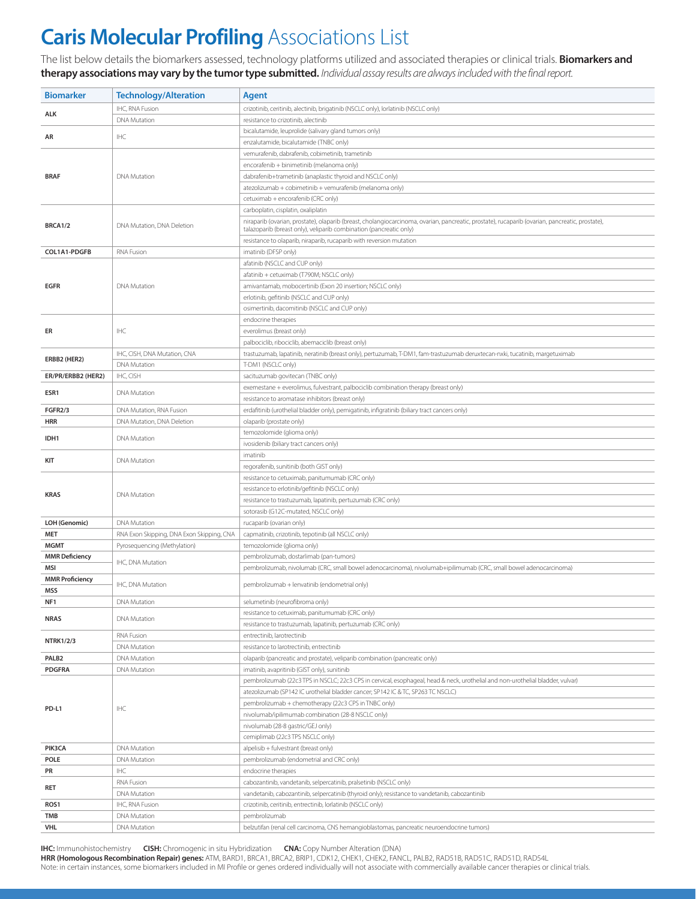## **Caris Molecular Profiling** Associations List

The list below details the biomarkers assessed, technology platforms utilized and associated therapies or clinical trials. **Biomarkers and therapy associations may vary by the tumor type submitted.** *Individual assay results are always included with the final report.*

| <b>Biomarker</b>                   | <b>Technology/Alteration</b>              | Agent                                                                                                                                                                           |  |  |  |  |
|------------------------------------|-------------------------------------------|---------------------------------------------------------------------------------------------------------------------------------------------------------------------------------|--|--|--|--|
|                                    | IHC, RNA Fusion                           | crizotinib, ceritinib, alectinib, brigatinib (NSCLC only), lorlatinib (NSCLC only)                                                                                              |  |  |  |  |
| <b>ALK</b>                         | <b>DNA Mutation</b>                       | resistance to crizotinib, alectinib                                                                                                                                             |  |  |  |  |
|                                    |                                           | bicalutamide, leuprolide (salivary gland tumors only)                                                                                                                           |  |  |  |  |
| AR                                 | <b>IHC</b>                                | enzalutamide, bicalutamide (TNBC only)                                                                                                                                          |  |  |  |  |
|                                    |                                           | vemurafenib, dabrafenib, cobimetinib, trametinib                                                                                                                                |  |  |  |  |
|                                    |                                           | encorafenib + binimetinib (melanoma only)                                                                                                                                       |  |  |  |  |
| <b>BRAF</b>                        | <b>DNA Mutation</b>                       | dabrafenib+trametinib (anaplastic thyroid and NSCLC only)                                                                                                                       |  |  |  |  |
|                                    |                                           | atezolizumab + cobimetinib + vemurafenib (melanoma only)                                                                                                                        |  |  |  |  |
|                                    |                                           | cetuximab + encorafenib (CRC only)                                                                                                                                              |  |  |  |  |
|                                    |                                           | carboplatin, cisplatin, oxaliplatin                                                                                                                                             |  |  |  |  |
| <b>BRCA1/2</b>                     | DNA Mutation, DNA Deletion                | niraparib (ovarian, prostate), olaparib (breast, cholangiocarcinoma, ovarian, pancreatic, prostate), rucaparib (ovarian, pancreatic, prostate),                                 |  |  |  |  |
|                                    |                                           | talazoparib (breast only), veliparib combination (pancreatic only)                                                                                                              |  |  |  |  |
|                                    |                                           | resistance to olaparib, niraparib, rucaparib with reversion mutation                                                                                                            |  |  |  |  |
| COL1A1-PDGFB                       | <b>RNA Fusion</b>                         | imatinib (DFSP only)                                                                                                                                                            |  |  |  |  |
|                                    |                                           | afatinib (NSCLC and CUP only)                                                                                                                                                   |  |  |  |  |
| <b>EGFR</b>                        |                                           | afatinib + cetuximab (T790M; NSCLC only)                                                                                                                                        |  |  |  |  |
|                                    | <b>DNA Mutation</b>                       | amivantamab, mobocertinib (Exon 20 insertion; NSCLC only)<br>erlotinib, gefitinib (NSCLC and CUP only)                                                                          |  |  |  |  |
|                                    |                                           | osimertinib, dacomitinib (NSCLC and CUP only)                                                                                                                                   |  |  |  |  |
|                                    |                                           | endocrine therapies                                                                                                                                                             |  |  |  |  |
| ER                                 | IHC                                       | everolimus (breast only)                                                                                                                                                        |  |  |  |  |
|                                    |                                           | palbociclib, ribociclib, abemaciclib (breast only)                                                                                                                              |  |  |  |  |
|                                    | IHC, CISH, DNA Mutation, CNA              | trastuzumab, lapatinib, neratinib (breast only), pertuzumab, T-DM1, fam-trastuzumab deruxtecan-nxki, tucatinib, margetuximab                                                    |  |  |  |  |
| ERBB2 (HER2)                       | <b>DNA Mutation</b>                       | T-DM1 (NSCLC only)                                                                                                                                                              |  |  |  |  |
| ER/PR/ERBB2 (HER2)                 | IHC, CISH                                 | sacituzumab govitecan (TNBC only)                                                                                                                                               |  |  |  |  |
|                                    |                                           | exemestane + everolimus, fulvestrant, palbociclib combination therapy (breast only)                                                                                             |  |  |  |  |
| ESR1                               | DNA Mutation                              | resistance to aromatase inhibitors (breast only)                                                                                                                                |  |  |  |  |
| <b>FGFR2/3</b>                     | DNA Mutation, RNA Fusion                  | erdafitinib (urothelial bladder only), pemigatinib, infigratinib (biliary tract cancers only)                                                                                   |  |  |  |  |
| HRR                                | DNA Mutation, DNA Deletion                | olaparib (prostate only)                                                                                                                                                        |  |  |  |  |
| IDH1                               | <b>DNA Mutation</b>                       | temozolomide (glioma only)                                                                                                                                                      |  |  |  |  |
|                                    |                                           | ivosidenib (biliary tract cancers only)                                                                                                                                         |  |  |  |  |
|                                    | <b>DNA Mutation</b>                       | imatinib                                                                                                                                                                        |  |  |  |  |
| KIT                                |                                           | regorafenib, sunitinib (both GIST only)                                                                                                                                         |  |  |  |  |
|                                    |                                           | resistance to cetuximab, panitumumab (CRC only)                                                                                                                                 |  |  |  |  |
|                                    | <b>DNA Mutation</b>                       | resistance to erlotinib/gefitinib (NSCLC only)                                                                                                                                  |  |  |  |  |
| <b>KRAS</b>                        |                                           | resistance to trastuzumab, lapatinib, pertuzumab (CRC only)                                                                                                                     |  |  |  |  |
|                                    |                                           | sotorasib (G12C-mutated, NSCLC only)                                                                                                                                            |  |  |  |  |
| LOH (Genomic)                      | <b>DNA Mutation</b>                       | rucaparib (ovarian only)                                                                                                                                                        |  |  |  |  |
| <b>MET</b>                         | RNA Exon Skipping, DNA Exon Skipping, CNA | capmatinib, crizotinib, tepotinib (all NSCLC only)                                                                                                                              |  |  |  |  |
| <b>MGMT</b>                        | Pyrosequencing (Methylation)              | temozolomide (glioma only)                                                                                                                                                      |  |  |  |  |
| <b>MMR Deficiency</b>              | IHC, DNA Mutation                         | pembrolizumab, dostarlimab (pan-tumors)                                                                                                                                         |  |  |  |  |
| MSI                                |                                           | pembrolizumab, nivolumab (CRC, small bowel adenocarcinoma), nivolumab+ipilimumab (CRC, small bowel adenocarcinoma)                                                              |  |  |  |  |
| <b>MMR Proficiency</b>             | IHC, DNA Mutation                         | pembrolizumab + lenvatinib (endometrial only)                                                                                                                                   |  |  |  |  |
| <b>MSS</b>                         |                                           |                                                                                                                                                                                 |  |  |  |  |
| NF1                                | <b>DNA Mutation</b>                       | selumetinib (neurofibroma only)                                                                                                                                                 |  |  |  |  |
| <b>NRAS</b>                        | <b>DNA Mutation</b>                       | resistance to cetuximab, panitumumab (CRC only)                                                                                                                                 |  |  |  |  |
|                                    |                                           | resistance to trastuzumab, lapatinib, pertuzumab (CRC only)                                                                                                                     |  |  |  |  |
| <b>NTRK1/2/3</b>                   | RNA Fusion                                | entrectinib, larotrectinib                                                                                                                                                      |  |  |  |  |
|                                    | DNA Mutation                              | resistance to larotrectinib, entrectinib<br>olaparib (pancreatic and prostate), veliparib combination (pancreatic only)                                                         |  |  |  |  |
| PALB <sub>2</sub><br><b>PDGFRA</b> | DNA Mutation<br><b>DNA Mutation</b>       |                                                                                                                                                                                 |  |  |  |  |
|                                    |                                           | imatinib, avapritinib (GIST only), sunitinib<br>pembrolizumab (22c3 TPS in NSCLC; 22c3 CPS in cervical, esophageal, head & neck, urothelial and non-urothelial bladder, vulvar) |  |  |  |  |
|                                    | IHC                                       | atezolizumab (SP142 IC urothelial bladder cancer; SP142 IC & TC, SP263 TC NSCLC)                                                                                                |  |  |  |  |
|                                    |                                           | pembrolizumab + chemotherapy (22c3 CPS in TNBC only)                                                                                                                            |  |  |  |  |
| PD-L1                              |                                           | nivolumab/ipilimumab combination (28-8 NSCLC only)                                                                                                                              |  |  |  |  |
|                                    |                                           | nivolumab (28-8 gastric/GEJ only)                                                                                                                                               |  |  |  |  |
|                                    |                                           | cemiplimab (22c3 TPS NSCLC only)                                                                                                                                                |  |  |  |  |
| PIK3CA                             | DNA Mutation                              | alpelisib + fulvestrant (breast only)                                                                                                                                           |  |  |  |  |
| <b>POLE</b>                        | DNA Mutation                              | pembrolizumab (endometrial and CRC only)                                                                                                                                        |  |  |  |  |
| PR                                 | IHC                                       | endocrine therapies                                                                                                                                                             |  |  |  |  |
|                                    | RNA Fusion                                | cabozantinib, vandetanib, selpercatinib, pralsetinib (NSCLC only)                                                                                                               |  |  |  |  |
| RET                                | DNA Mutation                              | vandetanib, cabozantinib, selpercatinib (thyroid only); resistance to vandetanib, cabozantinib                                                                                  |  |  |  |  |
| ROS1                               | IHC, RNA Fusion                           | crizotinib, ceritinib, entrectinib, lorlatinib (NSCLC only)                                                                                                                     |  |  |  |  |
| TMB                                | DNA Mutation                              | pembrolizumab                                                                                                                                                                   |  |  |  |  |
| <b>VHL</b>                         | DNA Mutation                              | belzutifan (renal cell carcinoma, CNS hemangioblastomas, pancreatic neuroendocrine tumors)                                                                                      |  |  |  |  |

**IHC:** Immunohistochemistry **CISH:** Chromogenic in situ Hybridization **CNA:** Copy Number Alteration (DNA)

**HRR (Homologous Recombination Repair) genes:** ATM, BARD1, BRCA1, BRCA2, BRIP1, CDK12, CHEK1, CHEK2, FANCL, PALB2, RAD51B, RAD51C, RAD51D, RAD54L Note: in certain instances, some biomarkers included in MI Profile or genes ordered individually will not associate with commercially available cancer therapies or clinical trials.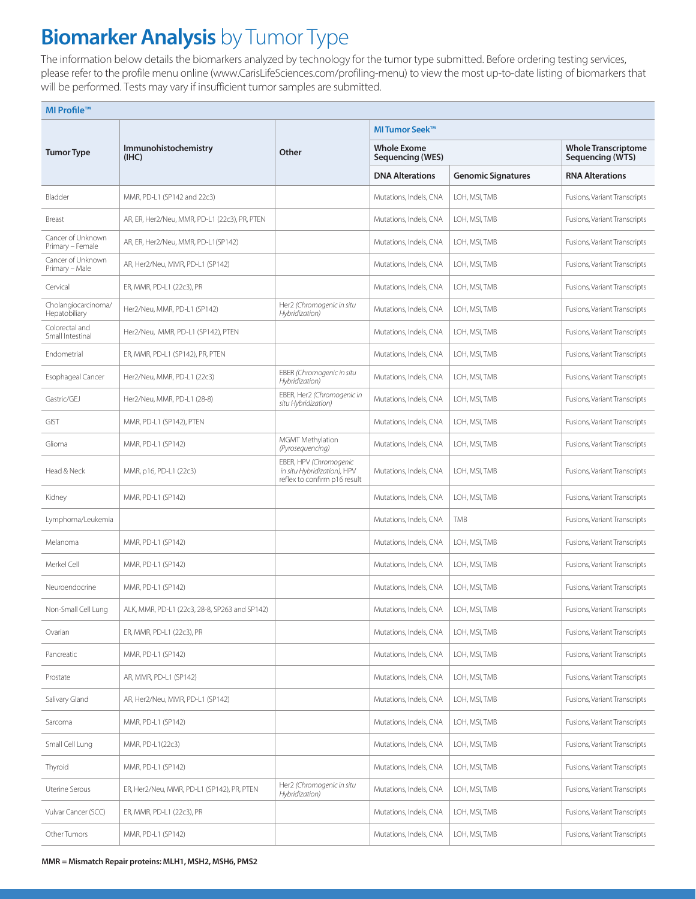## **Biomarker Analysis** by Tumor Type

The information below details the biomarkers analyzed by technology for the tumor type submitted. Before ordering testing services, please refer to the profile menu online (www.CarisLifeSciences.com/profiling-menu) to view the most up-to-date listing of biomarkers that will be performed. Tests may vary if insufficient tumor samples are submitted.

| MI Profile™                           |                                               |                                                                                       |                                        |                                                |                              |  |  |
|---------------------------------------|-----------------------------------------------|---------------------------------------------------------------------------------------|----------------------------------------|------------------------------------------------|------------------------------|--|--|
|                                       | Immunohistochemistry<br>(IHC)                 | Other                                                                                 | <b>MITumor Seek™</b>                   |                                                |                              |  |  |
| <b>Tumor Type</b>                     |                                               |                                                                                       | <b>Whole Exome</b><br>Sequencing (WES) | <b>Whole Transcriptome</b><br>Sequencing (WTS) |                              |  |  |
|                                       |                                               |                                                                                       | <b>DNA Alterations</b>                 | <b>Genomic Signatures</b>                      | <b>RNA Alterations</b>       |  |  |
| Bladder                               | MMR, PD-L1 (SP142 and 22c3)                   |                                                                                       | Mutations, Indels, CNA                 | LOH, MSI, TMB                                  | Fusions, Variant Transcripts |  |  |
| Breast                                | AR, ER, Her2/Neu, MMR, PD-L1 (22c3), PR, PTEN |                                                                                       | Mutations, Indels, CNA                 | LOH, MSI, TMB                                  | Fusions, Variant Transcripts |  |  |
| Cancer of Unknown<br>Primary - Female | AR, ER, Her2/Neu, MMR, PD-L1(SP142)           |                                                                                       | Mutations, Indels, CNA                 | LOH, MSI, TMB                                  | Fusions, Variant Transcripts |  |  |
| Cancer of Unknown<br>Primary - Male   | AR, Her2/Neu, MMR, PD-L1 (SP142)              |                                                                                       | Mutations, Indels, CNA                 | LOH, MSI, TMB                                  | Fusions, Variant Transcripts |  |  |
| Cervical                              | ER, MMR, PD-L1 (22c3), PR                     |                                                                                       | Mutations, Indels, CNA                 | LOH, MSI, TMB                                  | Fusions, Variant Transcripts |  |  |
| Cholangiocarcinoma/<br>Hepatobiliary  | Her2/Neu, MMR, PD-L1 (SP142)                  | Her2 (Chromogenic in situ<br>Hybridization)                                           | Mutations, Indels, CNA                 | LOH, MSI, TMB                                  | Fusions, Variant Transcripts |  |  |
| Colorectal and<br>Small Intestinal    | Her2/Neu, MMR, PD-L1 (SP142), PTEN            |                                                                                       | Mutations, Indels, CNA                 | LOH, MSI, TMB                                  | Fusions, Variant Transcripts |  |  |
| Endometrial                           | ER, MMR, PD-L1 (SP142), PR, PTEN              |                                                                                       | Mutations, Indels, CNA                 | LOH, MSI, TMB                                  | Fusions, Variant Transcripts |  |  |
| Esophageal Cancer                     | Her2/Neu, MMR, PD-L1 (22c3)                   | EBER (Chromogenic in situ<br>Hybridization)                                           | Mutations, Indels, CNA                 | LOH, MSI, TMB                                  | Fusions, Variant Transcripts |  |  |
| Gastric/GEJ                           | Her2/Neu, MMR, PD-L1 (28-8)                   | EBER, Her2 (Chromogenic in<br>situ Hybridization)                                     | Mutations, Indels, CNA                 | LOH, MSI, TMB                                  | Fusions, Variant Transcripts |  |  |
| <b>GIST</b>                           | MMR, PD-L1 (SP142), PTEN                      |                                                                                       | Mutations, Indels, CNA                 | LOH, MSI, TMB                                  | Fusions, Variant Transcripts |  |  |
| Glioma                                | MMR, PD-L1 (SP142)                            | MGMT Methylation<br>(Pyrosequencing)                                                  | Mutations, Indels, CNA                 | LOH, MSI, TMB                                  | Fusions, Variant Transcripts |  |  |
| Head & Neck                           | MMR, p16, PD-L1 (22c3)                        | EBER, HPV (Chromogenic<br>in situ Hybridization), HPV<br>reflex to confirm p16 result | Mutations, Indels, CNA                 | LOH, MSI, TMB                                  | Fusions, Variant Transcripts |  |  |
| Kidney                                | MMR, PD-L1 (SP142)                            |                                                                                       | Mutations, Indels, CNA                 | LOH, MSI, TMB                                  | Fusions, Variant Transcripts |  |  |
| Lymphoma/Leukemia                     |                                               |                                                                                       | Mutations, Indels, CNA                 | <b>TMB</b>                                     | Fusions, Variant Transcripts |  |  |
| Melanoma                              | MMR, PD-L1 (SP142)                            |                                                                                       | Mutations, Indels, CNA                 | LOH, MSI, TMB                                  | Fusions, Variant Transcripts |  |  |
| Merkel Cell                           | MMR, PD-L1 (SP142)                            |                                                                                       | Mutations, Indels, CNA                 | LOH, MSI, TMB                                  | Fusions, Variant Transcripts |  |  |
| Neuroendocrine                        | MMR, PD-L1 (SP142)                            |                                                                                       | Mutations, Indels, CNA                 | LOH, MSI, TMB                                  | Fusions, Variant Transcripts |  |  |
| Non-Small Cell Lung                   | ALK, MMR, PD-L1 (22c3, 28-8, SP263 and SP142) |                                                                                       | Mutations, Indels, CNA                 | LOH, MSI, TMB                                  | Fusions, Variant Transcripts |  |  |
| Ovarian                               | ER, MMR, PD-L1 (22c3), PR                     |                                                                                       | Mutations, Indels, CNA                 | LOH, MSI, TMB                                  | Fusions, Variant Transcripts |  |  |
| Pancreatic                            | MMR, PD-L1 (SP142)                            |                                                                                       | Mutations, Indels, CNA                 | LOH, MSI, TMB                                  | Fusions, Variant Transcripts |  |  |
| Prostate                              | AR, MMR, PD-L1 (SP142)                        |                                                                                       | Mutations, Indels, CNA                 | LOH, MSI, TMB                                  | Fusions, Variant Transcripts |  |  |
| Salivary Gland                        | AR, Her2/Neu, MMR, PD-L1 (SP142)              |                                                                                       | Mutations, Indels, CNA                 | LOH, MSI, TMB                                  | Fusions, Variant Transcripts |  |  |
| Sarcoma                               | MMR, PD-L1 (SP142)                            |                                                                                       | Mutations, Indels, CNA                 | LOH, MSI, TMB                                  | Fusions, Variant Transcripts |  |  |
| Small Cell Lung                       | MMR, PD-L1(22c3)                              |                                                                                       | Mutations, Indels, CNA                 | LOH, MSI, TMB                                  | Fusions, Variant Transcripts |  |  |
| Thyroid                               | MMR, PD-L1 (SP142)                            |                                                                                       | Mutations, Indels, CNA                 | LOH, MSI, TMB                                  | Fusions, Variant Transcripts |  |  |
| Uterine Serous                        | ER, Her2/Neu, MMR, PD-L1 (SP142), PR, PTEN    | Her2 (Chromogenic in situ<br>Hybridization)                                           | Mutations, Indels, CNA                 | LOH, MSI, TMB                                  | Fusions, Variant Transcripts |  |  |
| Vulvar Cancer (SCC)                   | ER, MMR, PD-L1 (22c3), PR                     |                                                                                       | Mutations, Indels, CNA                 | LOH, MSI, TMB                                  | Fusions, Variant Transcripts |  |  |
| Other Tumors                          | MMR, PD-L1 (SP142)                            |                                                                                       | Mutations, Indels, CNA                 | LOH, MSI, TMB                                  | Fusions, Variant Transcripts |  |  |